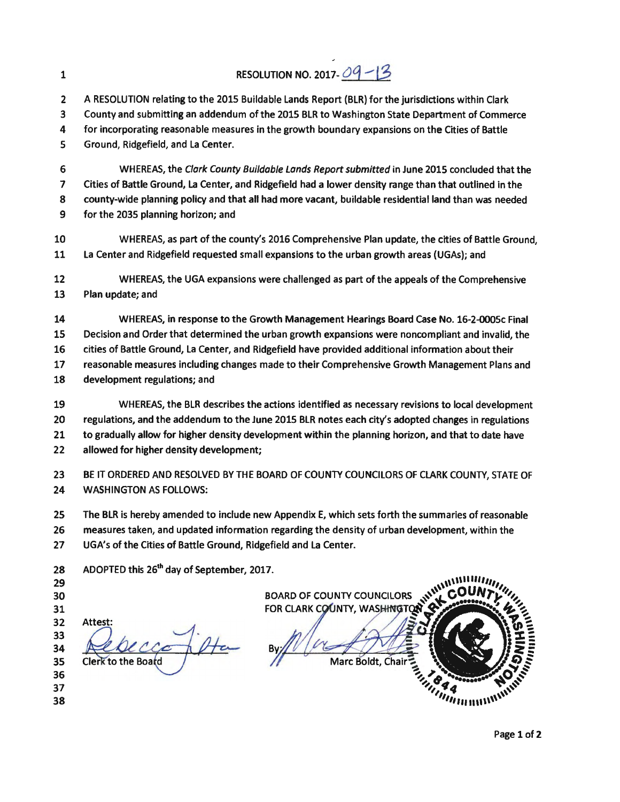|    | A RESOLUTION relating to the 2015 Buildable Lands Report (BLR) for the jurisdictions within Clark      |
|----|--------------------------------------------------------------------------------------------------------|
|    | County and submitting an addendum of the 2015 BLR to Washington State Department of Commerce           |
| 4  | for incorporating reasonable measures in the growth boundary expansions on the Cities of Battle        |
| 5. | Ground, Ridgefield, and La Center.                                                                     |
| -6 | WHEREAS, the Clark County Buildable Lands Report submitted in June 2015 concluded that the             |
|    | Cities of Battle Ground, La Center, and Ridgefield had a lower density range than that outlined in the |

- 8 county-wide planning policy and that all had more vacant, buildable residential land than was needed
- 9 for the 2035 planning horizon; and
- 10 WHEREAS, as part of the county's 2016 Comprehensive Plan update, the cities of Battle Ground, 11 La Center and Ridgefield requested small expansions to the urban growth areas (UGAs}; and
- 12 WHEREAS, the UGA expansions were challenged as part of the appeals of the Comprehensive 13 Plan update; and

14 WHEREAS, in response to the Growth Management Hearings Board Case No. 16-2-0005c Final 15 Decision and Order that determined the urban growth expansions were noncompliant and invalid, the 16 cities of Battle Ground, La Center, and Ridgefield have provided additional information about their 17 reasonable measures including changes made to their Comprehensive Growth Management Plans and 18 development regulations; and

- 19 WHEREAS, the BLR describes the actions identified as necessary revisions to local development 20 regulations, and the addendum to the June 2015 BLR notes each city's adopted changes in regulations 21 to gradually allow for higher density development within the planning horizon, and that to date have 22 allowed for higher density development;
- 23 BE IT ORDERED AND RESOLVED BY THE BOARD OF COUNTY COUNCILORS OF CLARK COUNTY, STATE OF 24 WASHINGTON AS FOLLOWS:
- 25 The BLR is hereby amended to include new Appendix E, which sets forth the summaries of reasonable 26 measures taken, and updated information regarding the density of urban development, within the 27 UGA's of the Cities of Battle Ground, Ridgefield and La Center.

| FOR CLARK COUNTY COUNCILORS NWWWCOL  |
|--------------------------------------|
|                                      |
|                                      |
|                                      |
|                                      |
|                                      |
|                                      |
|                                      |
| <b>PODARS</b>                        |
| <b>SALLINGTON</b>                    |
| <i><b><i><u>Intimure</u></i></b></i> |
|                                      |

## 1 RESOLUTION NO. 2017- $Oq - 13$

,